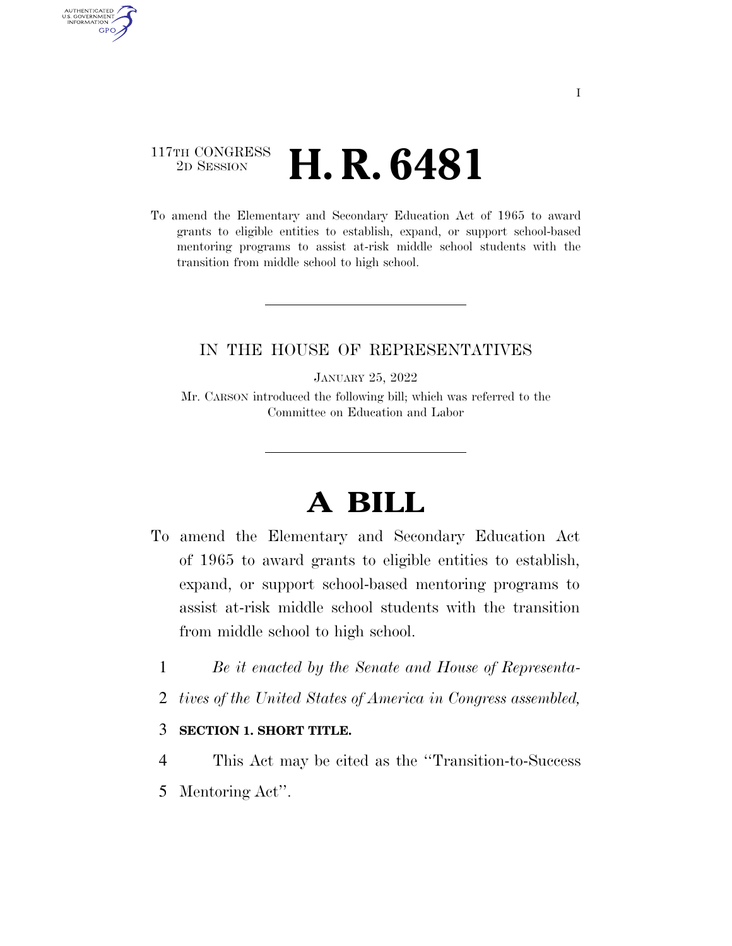### 117TH CONGRESS <sup>2D SESSION</sup> **H. R. 6481**

AUTHENTICATED U.S. GOVERNMENT **GPO** 

> To amend the Elementary and Secondary Education Act of 1965 to award grants to eligible entities to establish, expand, or support school-based mentoring programs to assist at-risk middle school students with the transition from middle school to high school.

### IN THE HOUSE OF REPRESENTATIVES

JANUARY 25, 2022

Mr. CARSON introduced the following bill; which was referred to the Committee on Education and Labor

# **A BILL**

- To amend the Elementary and Secondary Education Act of 1965 to award grants to eligible entities to establish, expand, or support school-based mentoring programs to assist at-risk middle school students with the transition from middle school to high school.
	- 1 *Be it enacted by the Senate and House of Representa-*
	- 2 *tives of the United States of America in Congress assembled,*

#### 3 **SECTION 1. SHORT TITLE.**

4 This Act may be cited as the ''Transition-to-Success 5 Mentoring Act''.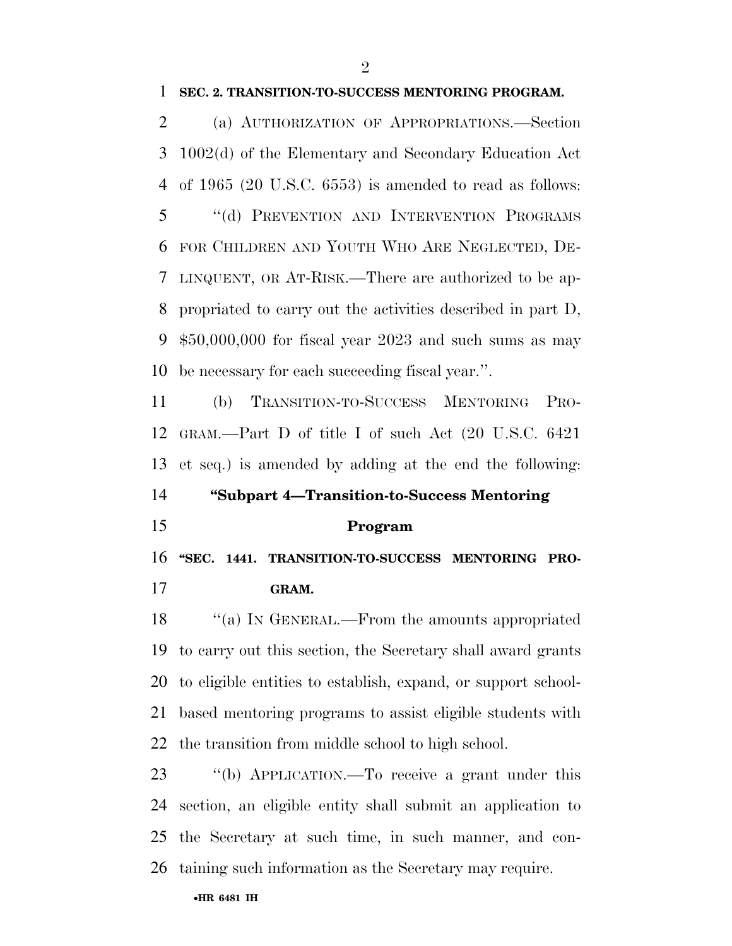#### **SEC. 2. TRANSITION-TO-SUCCESS MENTORING PROGRAM.**

 (a) AUTHORIZATION OF APPROPRIATIONS.—Section 1002(d) of the Elementary and Secondary Education Act of 1965 (20 U.S.C. 6553) is amended to read as follows: ''(d) PREVENTION AND INTERVENTION PROGRAMS FOR CHILDREN AND YOUTH WHO ARE NEGLECTED, DE- LINQUENT, OR AT-RISK.—There are authorized to be ap- propriated to carry out the activities described in part D, \$50,000,000 for fiscal year 2023 and such sums as may be necessary for each succeeding fiscal year.''.

 (b) TRANSITION-TO-SUCCESS MENTORING PRO- GRAM.—Part D of title I of such Act (20 U.S.C. 6421 et seq.) is amended by adding at the end the following:

## **''Subpart 4—Transition-to-Success Mentoring**

#### **Program**

 **''SEC. 1441. TRANSITION-TO-SUCCESS MENTORING PRO-GRAM.** 

18 "(a) In GENERAL.—From the amounts appropriated to carry out this section, the Secretary shall award grants to eligible entities to establish, expand, or support school- based mentoring programs to assist eligible students with the transition from middle school to high school.

 ''(b) APPLICATION.—To receive a grant under this section, an eligible entity shall submit an application to the Secretary at such time, in such manner, and con-taining such information as the Secretary may require.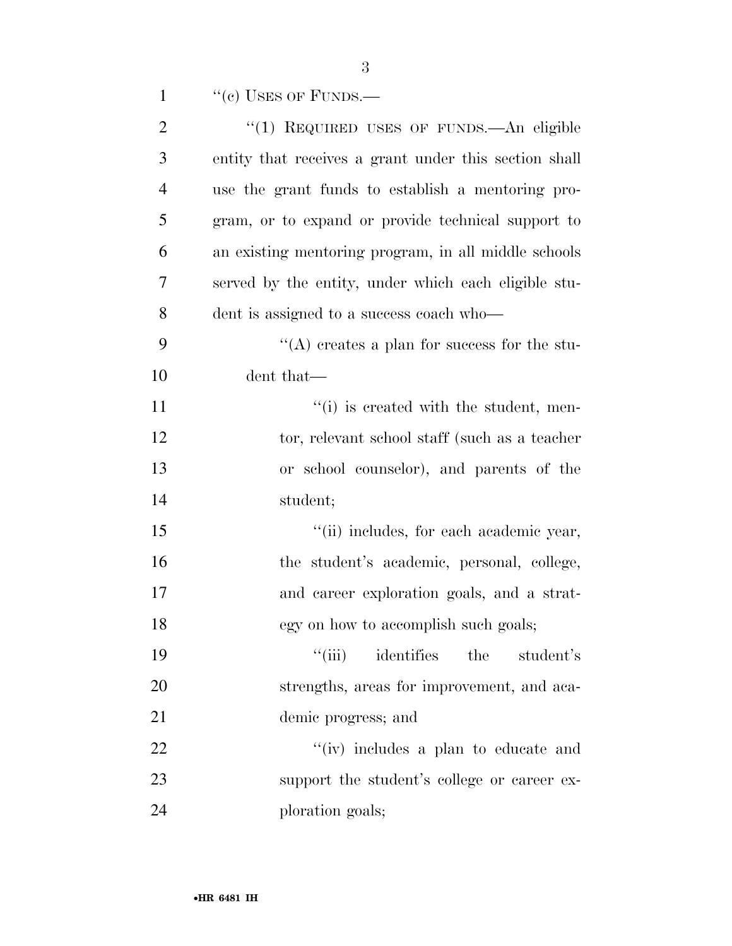| $\mathbf{1}$   | $``(e)$ USES OF FUNDS.—                               |
|----------------|-------------------------------------------------------|
| $\overline{2}$ | "(1) REQUIRED USES OF FUNDS.—An eligible              |
| 3              | entity that receives a grant under this section shall |
| $\overline{4}$ | use the grant funds to establish a mentoring pro-     |
| 5              | gram, or to expand or provide technical support to    |
| 6              | an existing mentoring program, in all middle schools  |
| 7              | served by the entity, under which each eligible stu-  |
| 8              | dent is assigned to a success coach who—              |
| 9              | "(A) creates a plan for success for the stu-          |
| 10             | dent that—                                            |
| 11             | "(i) is created with the student, men-                |
| 12             | tor, relevant school staff (such as a teacher         |
| 13             | or school counselor), and parents of the              |
| 14             | student;                                              |
| 15             | "(ii) includes, for each academic year,               |
| 16             | the student's academic, personal, college,            |
| 17             | and career exploration goals, and a strat-            |
| 18             | egy on how to accomplish such goals;                  |
| 19             | ``(iii)<br>identifies<br>the<br>student's             |
| <b>20</b>      | strengths, areas for improvement, and aca-            |
| 21             | demic progress; and                                   |
| 22             | "(iv) includes a plan to educate and                  |
| 23             | support the student's college or career ex-           |
| 24             | ploration goals;                                      |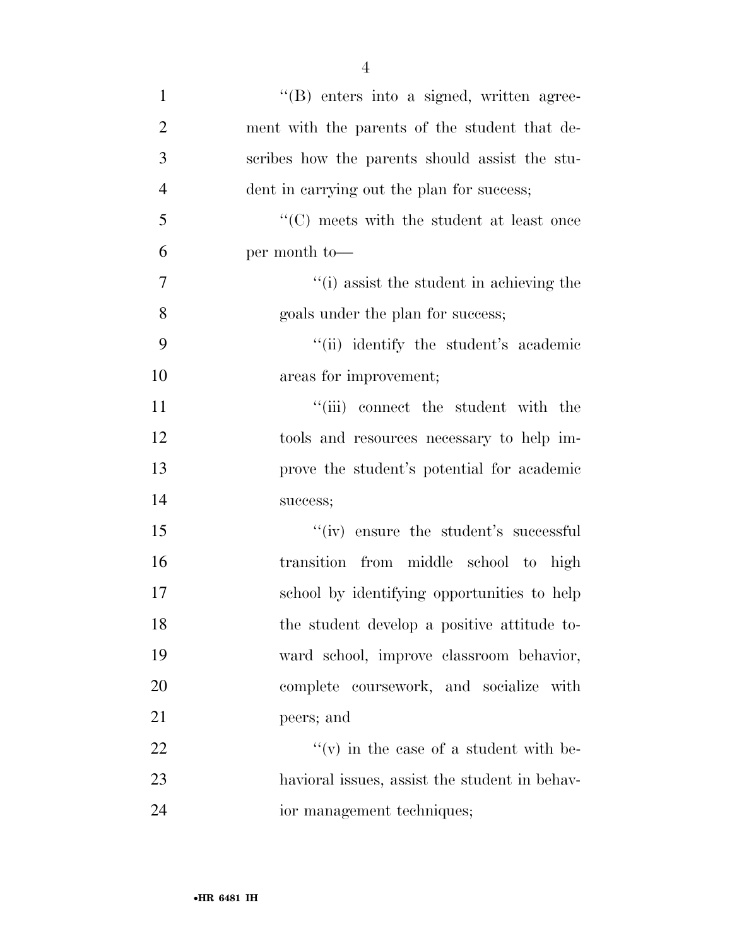| $\mathbf{1}$   | "(B) enters into a signed, written agree-         |
|----------------|---------------------------------------------------|
| $\overline{2}$ | ment with the parents of the student that de-     |
| 3              | scribes how the parents should assist the stu-    |
| $\overline{4}$ | dent in carrying out the plan for success;        |
| 5              | $\lq\lq (C)$ meets with the student at least once |
| 6              | per month to-                                     |
| $\tau$         | "(i) assist the student in achieving the          |
| 8              | goals under the plan for success;                 |
| 9              | "(ii) identify the student's academic             |
| 10             | areas for improvement;                            |
| 11             | "(iii) connect the student with the               |
| 12             | tools and resources necessary to help im-         |
| 13             | prove the student's potential for academic        |
| 14             | success;                                          |
| 15             | "(iv) ensure the student's successful             |
| 16             | transition from middle school to high             |
| 17             | school by identifying opportunities to help       |
| 18             | the student develop a positive attitude to-       |
| 19             | ward school, improve classroom behavior,          |
| 20             | complete coursework, and socialize with           |
| 21             | peers; and                                        |
| 22             | $f'(v)$ in the case of a student with be-         |
| 23             | havioral issues, assist the student in behav-     |
| 24             | ior management techniques;                        |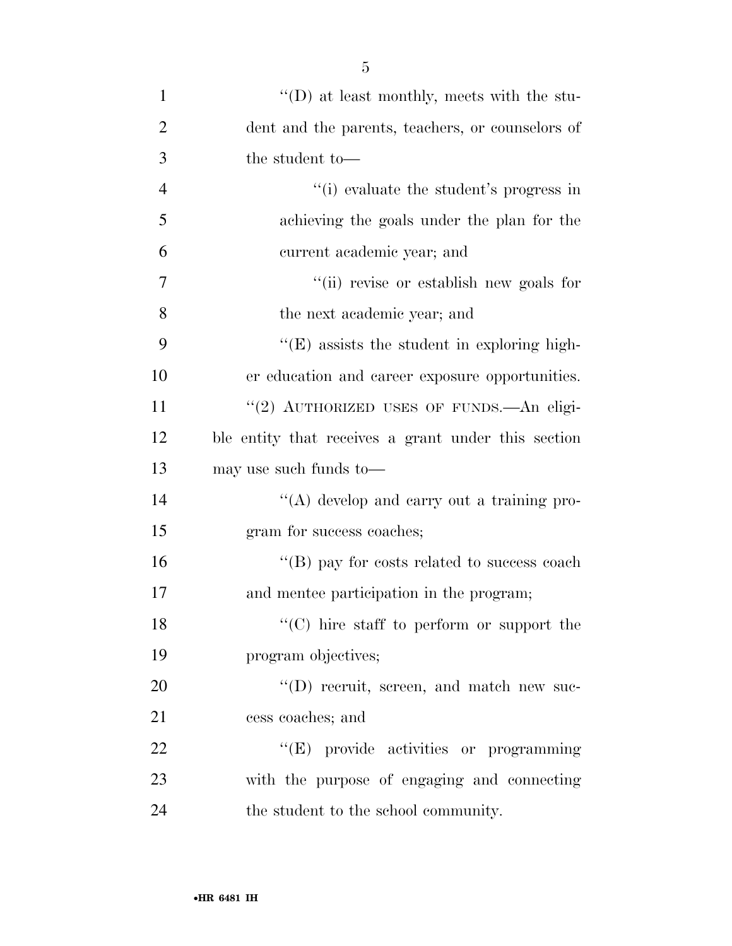| $\mathbf{1}$   | "(D) at least monthly, meets with the stu-          |
|----------------|-----------------------------------------------------|
| $\overline{2}$ | dent and the parents, teachers, or counselors of    |
|                |                                                     |
| 3              | the student to-                                     |
| $\overline{4}$ | "(i) evaluate the student's progress in             |
| 5              | achieving the goals under the plan for the          |
| 6              | current academic year; and                          |
| 7              | "(ii) revise or establish new goals for             |
| 8              | the next academic year; and                         |
| 9              | $\lq\lq$ (E) assists the student in exploring high- |
| 10             | er education and career exposure opportunities.     |
| 11             | "(2) AUTHORIZED USES OF FUNDS. An eligi-            |
| 12             | ble entity that receives a grant under this section |
| 13             | may use such funds to—                              |
| 14             | $\lq\lq$ develop and carry out a training pro-      |
| 15             | gram for success coaches;                           |
| 16             | "(B) pay for costs related to success coach         |
| 17             | and mentee participation in the program;            |
| 18             | $\lq\lq$ (C) hire staff to perform or support the   |
| 19             | program objectives;                                 |
| 20             | $\lq\lq$ (D) recruit, screen, and match new suc-    |
| 21             | cess coaches; and                                   |
| 22             | "(E) provide activities or programming              |
| 23             | with the purpose of engaging and connecting         |
| 24             | the student to the school community.                |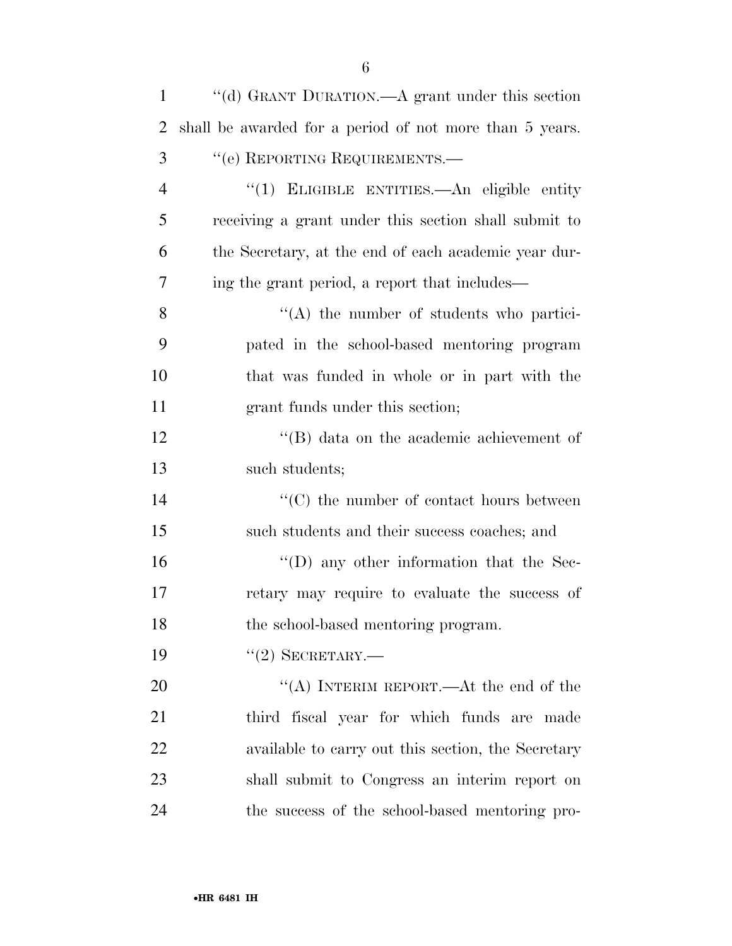| $\mathbf{1}$   | "(d) GRANT DURATION.—A grant under this section         |
|----------------|---------------------------------------------------------|
| 2              | shall be awarded for a period of not more than 5 years. |
| 3              | "(e) REPORTING REQUIREMENTS.—                           |
| $\overline{4}$ | "(1) ELIGIBLE ENTITIES.—An eligible entity              |
| 5              | receiving a grant under this section shall submit to    |
| 6              | the Secretary, at the end of each academic year dur-    |
| 7              | ing the grant period, a report that includes—           |
| 8              | $\lq\lq$ the number of students who partici-            |
| 9              | pated in the school-based mentoring program             |
| 10             | that was funded in whole or in part with the            |
| 11             | grant funds under this section;                         |
| 12             | $\lq\lq$ data on the academic achievement of            |
| 13             | such students;                                          |
| 14             | $\cdot$ (C) the number of contact hours between         |
| 15             | such students and their success coaches; and            |
| 16             | $\lq\lq$ (D) any other information that the Sec-        |
| 17             | retary may require to evaluate the success of           |
| 18             | the school-based mentoring program.                     |
| 19             | $``(2)$ SECRETARY.—                                     |
| 20             | "(A) INTERIM REPORT.—At the end of the                  |
| 21             | third fiscal year for which funds are made              |
| 22             | available to carry out this section, the Secretary      |
| 23             | shall submit to Congress an interim report on           |
| 24             | the success of the school-based mentoring pro-          |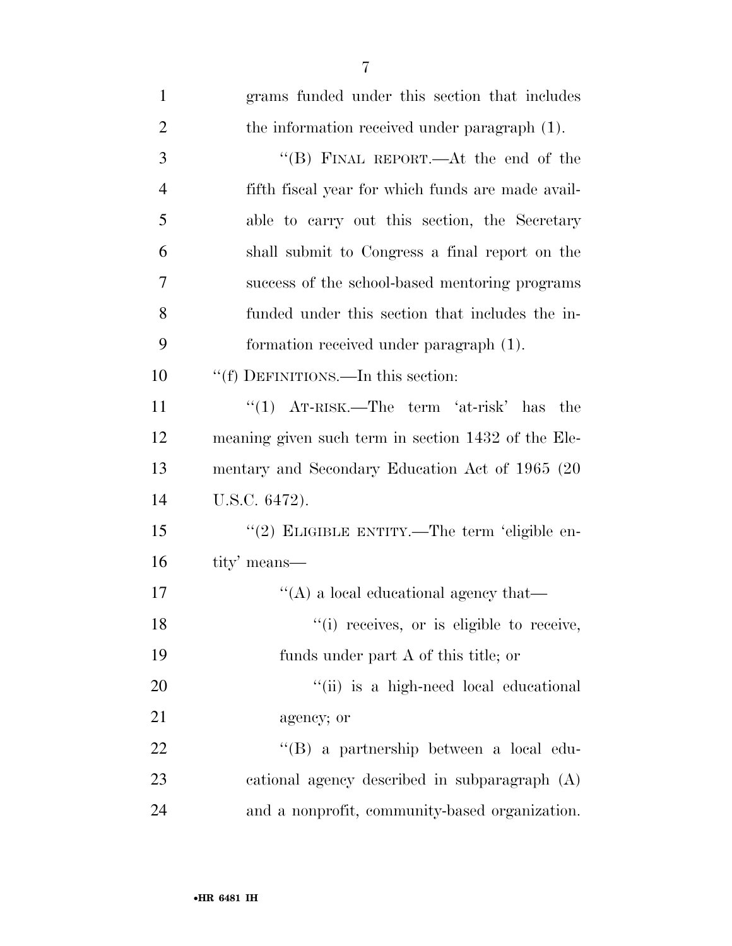| $\mathbf{1}$   | grams funded under this section that includes       |
|----------------|-----------------------------------------------------|
| $\overline{2}$ | the information received under paragraph (1).       |
| 3              | "(B) FINAL REPORT.—At the end of the                |
| $\overline{4}$ | fifth fiscal year for which funds are made avail-   |
| 5              | able to carry out this section, the Secretary       |
| 6              | shall submit to Congress a final report on the      |
| 7              | success of the school-based mentoring programs      |
| 8              | funded under this section that includes the in-     |
| 9              | formation received under paragraph (1).             |
| 10             | "(f) DEFINITIONS.—In this section:                  |
| 11             | "(1) $AT-RISK$ . The term 'at-risk' has<br>the      |
| 12             | meaning given such term in section 1432 of the Ele- |
| 13             | mentary and Secondary Education Act of 1965 (20     |
| 14             | U.S.C. 6472).                                       |
| 15             | "(2) ELIGIBLE ENTITY.—The term 'eligible en-        |
| 16             | tity' means—                                        |
| 17             | $\lq\lq$ a local educational agency that—           |
| 18             | "(i) receives, or is eligible to receive,           |
| 19             | funds under part A of this title; or                |
| 20             | "(ii) is a high-need local educational              |
| 21             | agency; or                                          |
| 22             | "(B) a partnership between a local edu-             |
| 23             | cational agency described in subparagraph (A)       |
| 24             | and a nonprofit, community-based organization.      |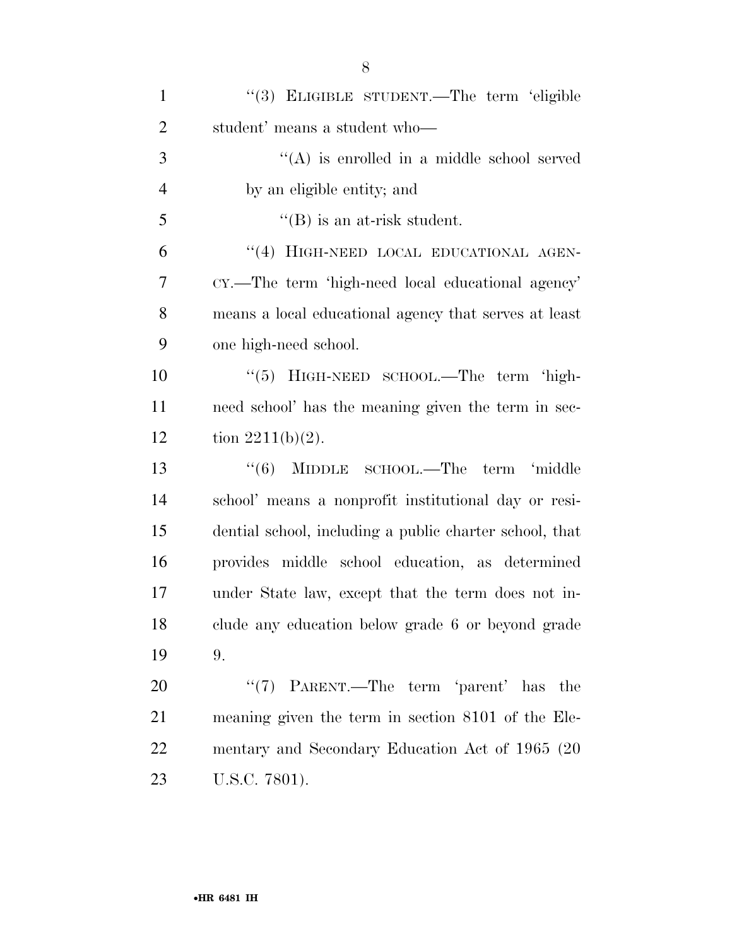| $\mathbf{1}$   | "(3) ELIGIBLE STUDENT.—The term 'eligible               |
|----------------|---------------------------------------------------------|
| $\overline{2}$ | student' means a student who-                           |
| 3              | $\lq\lq$ is enrolled in a middle school served          |
| $\overline{4}$ | by an eligible entity; and                              |
| 5              | $\lq\lq$ (B) is an at-risk student.                     |
| 6              | "(4) HIGH-NEED LOCAL EDUCATIONAL AGEN-                  |
| 7              | CY.—The term 'high-need local educational agency'       |
| 8              | means a local educational agency that serves at least   |
| 9              | one high-need school.                                   |
| 10             | "(5) HIGH-NEED SCHOOL.—The term 'high-                  |
| 11             | need school' has the meaning given the term in sec-     |
| 12             | tion $2211(b)(2)$ .                                     |
| 13             | $\cdot\cdot(6)$ MIDDLE SCHOOL.—The<br>term 'middle      |
| 14             | school' means a nonprofit institutional day or resi-    |
| 15             | dential school, including a public charter school, that |
| 16             | provides middle school education, as determined         |
| 17             | under State law, except that the term does not in-      |
| 18             | clude any education below grade 6 or beyond grade       |
| 19             | 9.                                                      |
| 20             | "(7) PARENT.—The term 'parent' has the                  |
| 21             | meaning given the term in section 8101 of the Ele-      |
| 22             | mentary and Secondary Education Act of 1965 (20         |
| 23             | U.S.C. 7801).                                           |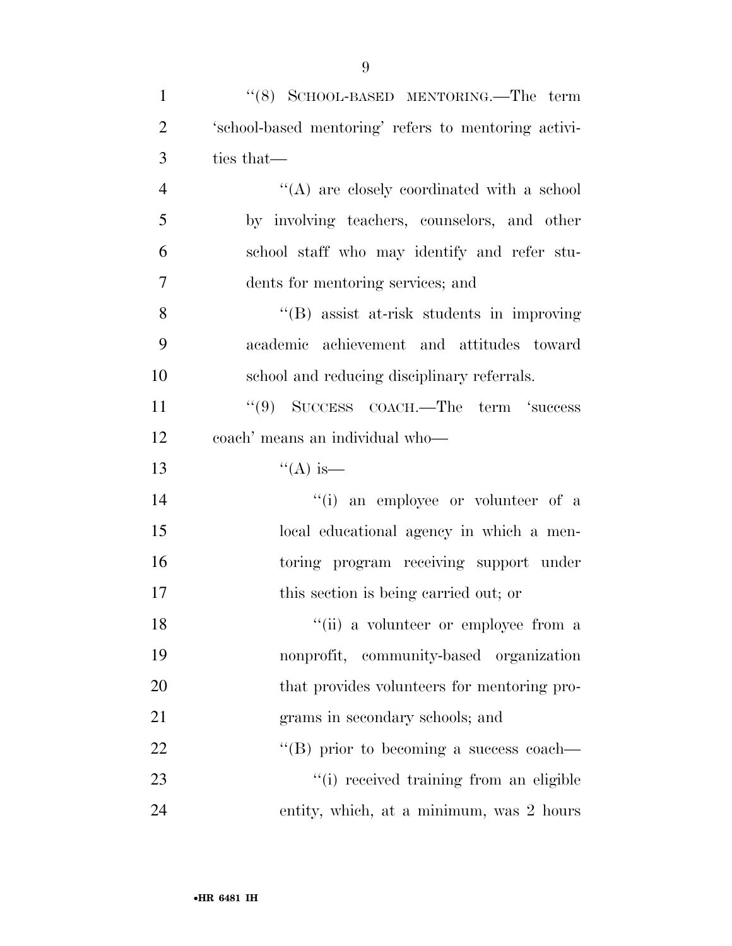| $\mathbf{1}$   | "(8) SCHOOL-BASED MENTORING.—The term                |
|----------------|------------------------------------------------------|
| $\overline{2}$ | 'school-based mentoring' refers to mentoring activi- |
| 3              | ties that—                                           |
| $\overline{4}$ | $\lq\lq$ are closely coordinated with a school       |
| 5              | by involving teachers, counselors, and other         |
| 6              | school staff who may identify and refer stu-         |
| 7              | dents for mentoring services; and                    |
| 8              | $\lq\lq$ assist at-risk students in improving        |
| 9              | academic achievement and attitudes toward            |
| 10             | school and reducing disciplinary referrals.          |
| 11             | "(9) SUCCESS COACH.—The term 'success                |
| 12             | coach' means an individual who-                      |
| 13             | $\lq($ A) is—                                        |
| 14             | "(i) an employee or volunteer of a                   |
| 15             | local educational agency in which a men-             |
| 16             | toring program receiving support under               |
| 17             | this section is being carried out; or                |
| 18             | "(ii) a volunteer or employee from a                 |
| 19             | nonprofit, community-based organization              |
| 20             | that provides volunteers for mentoring pro-          |
| 21             | grams in secondary schools; and                      |
| 22             | "(B) prior to becoming a success coach—              |
| 23             | "(i) received training from an eligible              |
| 24             | entity, which, at a minimum, was 2 hours             |